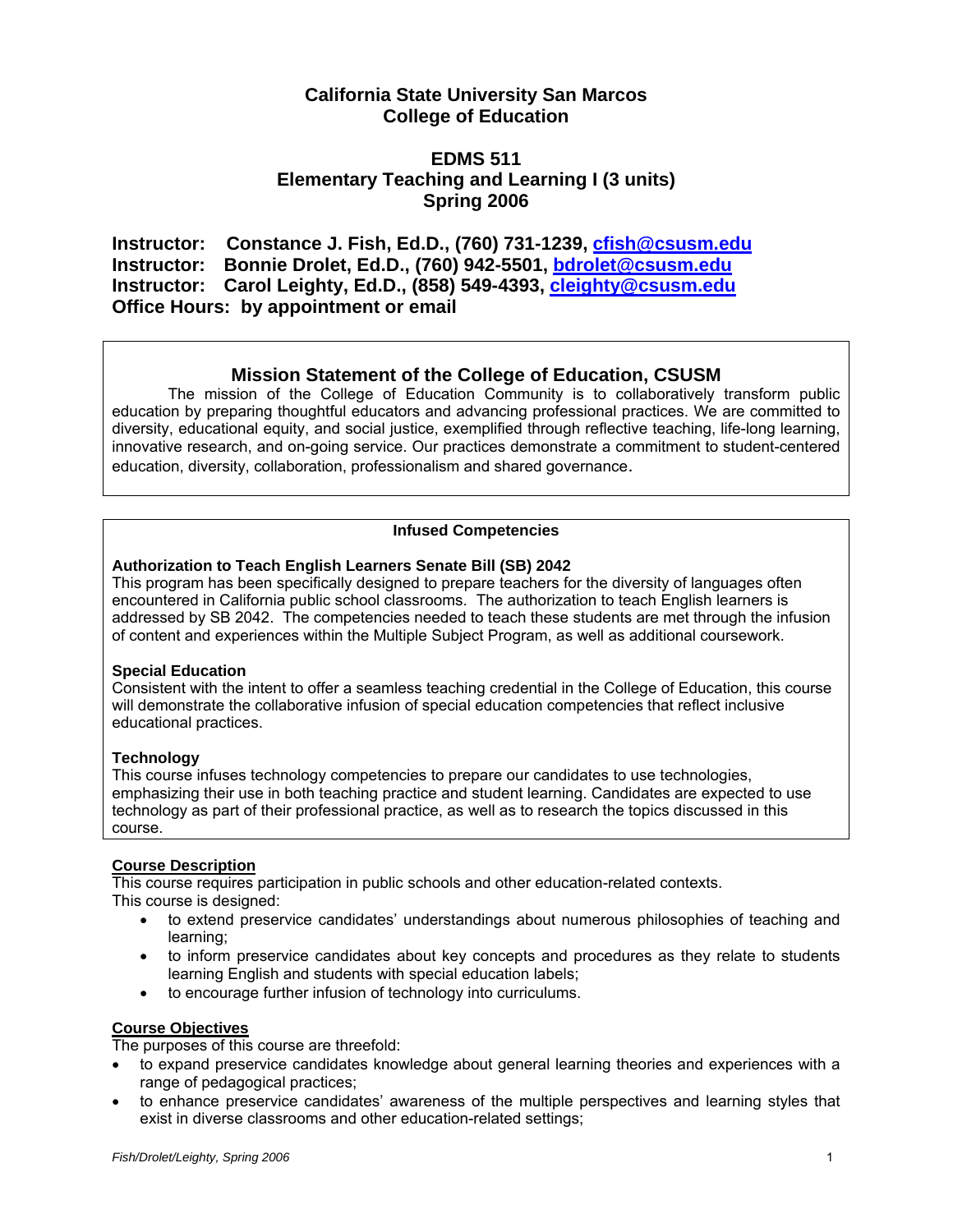# **California State University San Marcos College of Education**

## **EDMS 511 Elementary Teaching and Learning I (3 units) Spring 2006**

**Instructor: Constance J. Fish, Ed.D., (760) 731-1239, cfish@csusm.edu Instructor: Bonnie Drolet, Ed.D., (760) 942-5501, bdrolet@csusm.edu Instructor: Carol Leighty, Ed.D., (858) 549-4393, cleighty@csusm.edu Office Hours: by appointment or email** 

## **Mission Statement of the College of Education, CSUSM**

 The mission of the College of Education Community is to collaboratively transform public education by preparing thoughtful educators and advancing professional practices. We are committed to diversity, educational equity, and social justice, exemplified through reflective teaching, life-long learning, innovative research, and on-going service. Our practices demonstrate a commitment to student-centered education, diversity, collaboration, professionalism and shared governance.

## **Infused Competencies**

### **Authorization to Teach English Learners Senate Bill (SB) 2042**

This program has been specifically designed to prepare teachers for the diversity of languages often encountered in California public school classrooms. The authorization to teach English learners is addressed by SB 2042. The competencies needed to teach these students are met through the infusion of content and experiences within the Multiple Subject Program, as well as additional coursework.

#### **Special Education**

Consistent with the intent to offer a seamless teaching credential in the College of Education, this course will demonstrate the collaborative infusion of special education competencies that reflect inclusive educational practices.

## **Technology**

This course infuses technology competencies to prepare our candidates to use technologies, emphasizing their use in both teaching practice and student learning. Candidates are expected to use technology as part of their professional practice, as well as to research the topics discussed in this course.

#### **Course Description**

This course requires participation in public schools and other education-related contexts. This course is designed:

- to extend preservice candidates' understandings about numerous philosophies of teaching and learning;
- to inform preservice candidates about key concepts and procedures as they relate to students learning English and students with special education labels;
- to encourage further infusion of technology into curriculums.

### **Course Objectives**

The purposes of this course are threefold:

- to expand preservice candidates knowledge about general learning theories and experiences with a range of pedagogical practices;
- to enhance preservice candidates' awareness of the multiple perspectives and learning styles that exist in diverse classrooms and other education-related settings;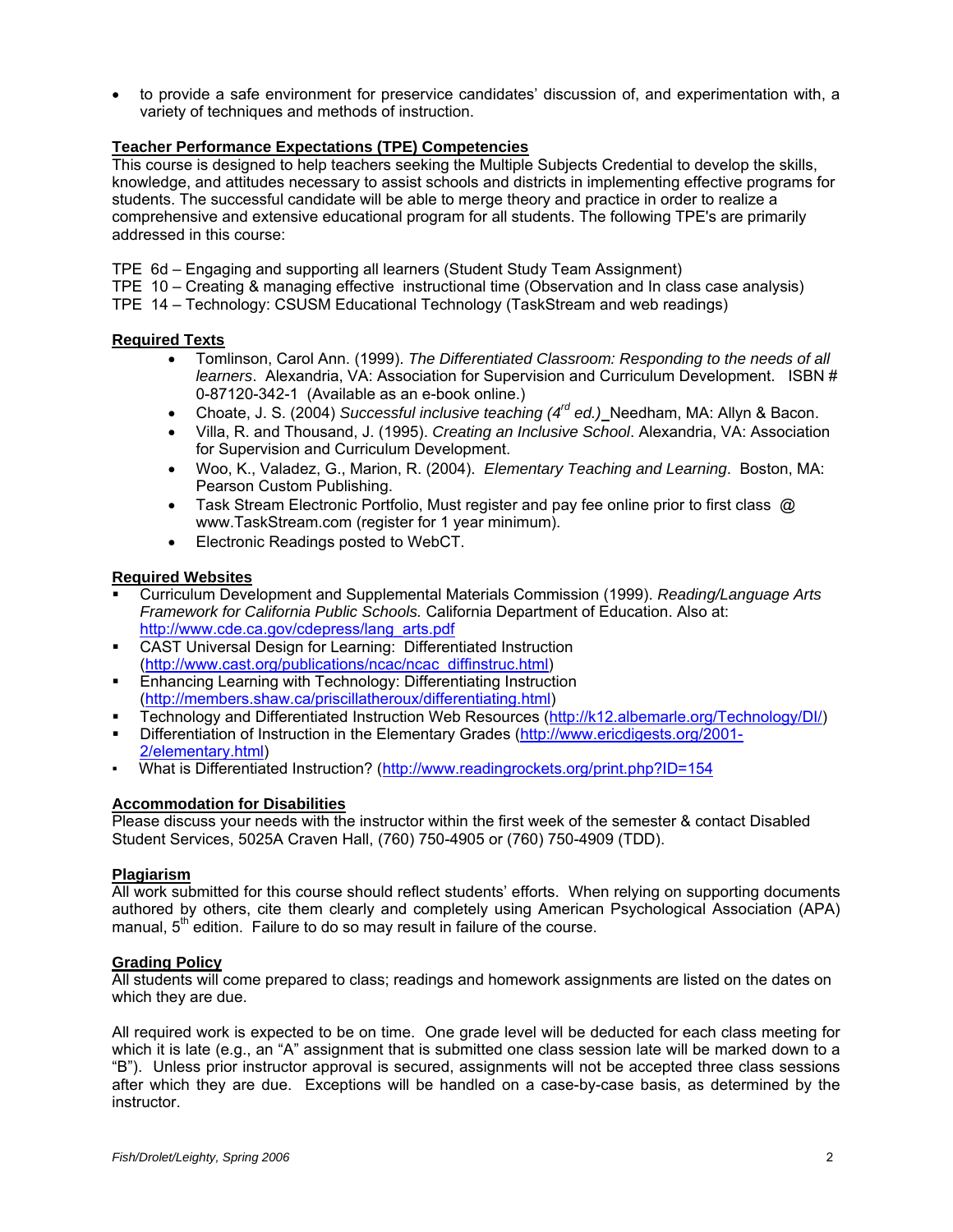• to provide a safe environment for preservice candidates' discussion of, and experimentation with, a variety of techniques and methods of instruction.

#### **Teacher Performance Expectations (TPE) Competencies**

This course is designed to help teachers seeking the Multiple Subjects Credential to develop the skills, knowledge, and attitudes necessary to assist schools and districts in implementing effective programs for students. The successful candidate will be able to merge theory and practice in order to realize a comprehensive and extensive educational program for all students. The following TPE's are primarily addressed in this course:

- TPE 6d Engaging and supporting all learners (Student Study Team Assignment)
- TPE 10 Creating & managing effective instructional time (Observation and In class case analysis)
- TPE 14 Technology: CSUSM Educational Technology (TaskStream and web readings)

#### **Required Texts**

- Tomlinson, Carol Ann. (1999). *The Differentiated Classroom: Responding to the needs of all learners*. Alexandria, VA: Association for Supervision and Curriculum Development. ISBN # 0-87120-342-1 (Available as an e-book online.)
- Choate, J. S. (2004) *Successful inclusive teaching (4rd ed.)* Needham, MA: Allyn & Bacon.
- Villa, R. and Thousand, J. (1995). *Creating an Inclusive School*. Alexandria, VA: Association for Supervision and Curriculum Development.
- Woo, K., Valadez, G., Marion, R. (2004). *Elementary Teaching and Learning*. Boston, MA: Pearson Custom Publishing.
- Task Stream Electronic Portfolio, Must register and pay fee online prior to first class @ www.TaskStream.com (register for 1 year minimum).
- Electronic Readings posted to WebCT.

#### **Required Websites**

- Curriculum Development and Supplemental Materials Commission (1999). *Reading/Language Arts Framework for California Public Schools.* California Department of Education. Also at: http://www.cde.ca.gov/cdepress/lang\_arts.pdf
- CAST Universal Design for Learning: Differentiated Instruction (http://www.cast.org/publications/ncac/ncac\_diffinstruc.html)
- Enhancing Learning with Technology: Differentiating Instruction (http://members.shaw.ca/priscillatheroux/differentiating.html)
- Technology and Differentiated Instruction Web Resources (http://k12.albemarle.org/Technology/DI/)
- Differentiation of Instruction in the Elementary Grades (http://www.ericdigests.org/2001- 2/elementary.html)
- What is Differentiated Instruction? (http://www.readingrockets.org/print.php?ID=154

#### **Accommodation for Disabilities**

Please discuss your needs with the instructor within the first week of the semester & contact Disabled Student Services, 5025A Craven Hall, (760) 750-4905 or (760) 750-4909 (TDD).

#### **Plagiarism**

All work submitted for this course should reflect students' efforts. When relying on supporting documents authored by others, cite them clearly and completely using American Psychological Association (APA) manual,  $5<sup>th</sup>$  edition. Failure to do so may result in failure of the course.

#### **Grading Policy**

All students will come prepared to class; readings and homework assignments are listed on the dates on which they are due.

All required work is expected to be on time. One grade level will be deducted for each class meeting for which it is late (e.g., an "A" assignment that is submitted one class session late will be marked down to a "B"). Unless prior instructor approval is secured, assignments will not be accepted three class sessions after which they are due. Exceptions will be handled on a case-by-case basis, as determined by the instructor.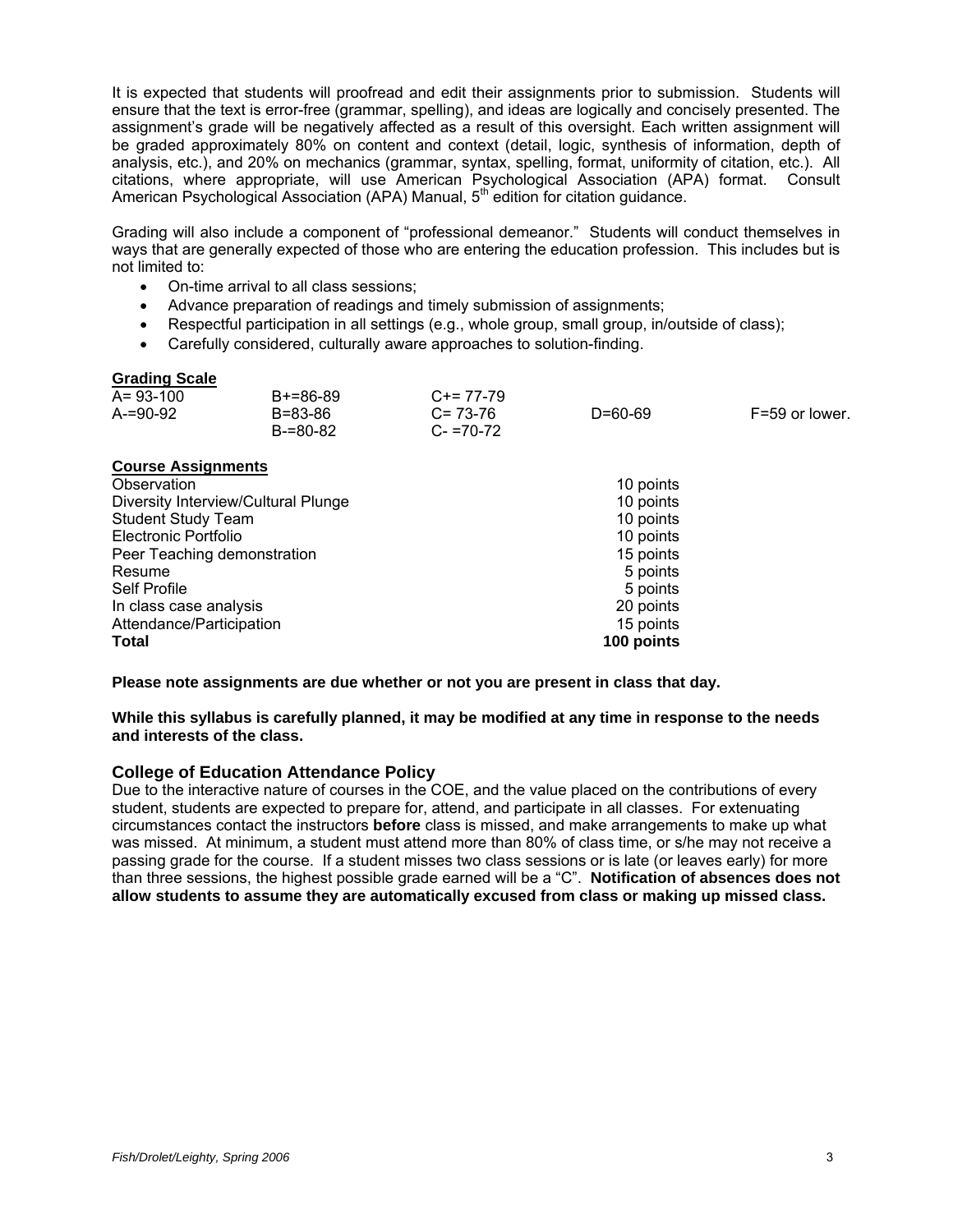It is expected that students will proofread and edit their assignments prior to submission. Students will ensure that the text is error-free (grammar, spelling), and ideas are logically and concisely presented. The assignment's grade will be negatively affected as a result of this oversight. Each written assignment will be graded approximately 80% on content and context (detail, logic, synthesis of information, depth of analysis, etc.), and 20% on mechanics (grammar, syntax, spelling, format, uniformity of citation, etc.). All citations, where appropriate, will use American Psychological Association (APA) format. Consult American Psychological Association (APA) Manual, 5<sup>th</sup> edition for citation guidance.

Grading will also include a component of "professional demeanor." Students will conduct themselves in ways that are generally expected of those who are entering the education profession. This includes but is not limited to:

- On-time arrival to all class sessions;
- Advance preparation of readings and timely submission of assignments;
- Respectful participation in all settings (e.g., whole group, small group, in/outside of class);
- Carefully considered, culturally aware approaches to solution-finding.

#### **Grading Scale**

| $A = 93 - 100$ | $B+=86-89$ | $C+= 77-79$   |         |                |
|----------------|------------|---------------|---------|----------------|
| $A = 90 - 92$  | B=83-86    | $C = 73-76$   | D=60-69 | F=59 or lower. |
|                | B-=80-82   | $C - 70 - 72$ |         |                |

#### **Course Assignments**

| Observation                         | 10 points  |
|-------------------------------------|------------|
| Diversity Interview/Cultural Plunge | 10 points  |
| <b>Student Study Team</b>           | 10 points  |
| Electronic Portfolio                | 10 points  |
| Peer Teaching demonstration         | 15 points  |
| Resume                              | 5 points   |
| Self Profile                        | 5 points   |
| In class case analysis              | 20 points  |
| Attendance/Participation            | 15 points  |
| <b>Total</b>                        | 100 points |

**Please note assignments are due whether or not you are present in class that day.** 

**While this syllabus is carefully planned, it may be modified at any time in response to the needs and interests of the class.** 

#### **College of Education Attendance Policy**

Due to the interactive nature of courses in the COE, and the value placed on the contributions of every student, students are expected to prepare for, attend, and participate in all classes. For extenuating circumstances contact the instructors **before** class is missed, and make arrangements to make up what was missed. At minimum, a student must attend more than 80% of class time, or s/he may not receive a passing grade for the course. If a student misses two class sessions or is late (or leaves early) for more than three sessions, the highest possible grade earned will be a "C". **Notification of absences does not allow students to assume they are automatically excused from class or making up missed class.**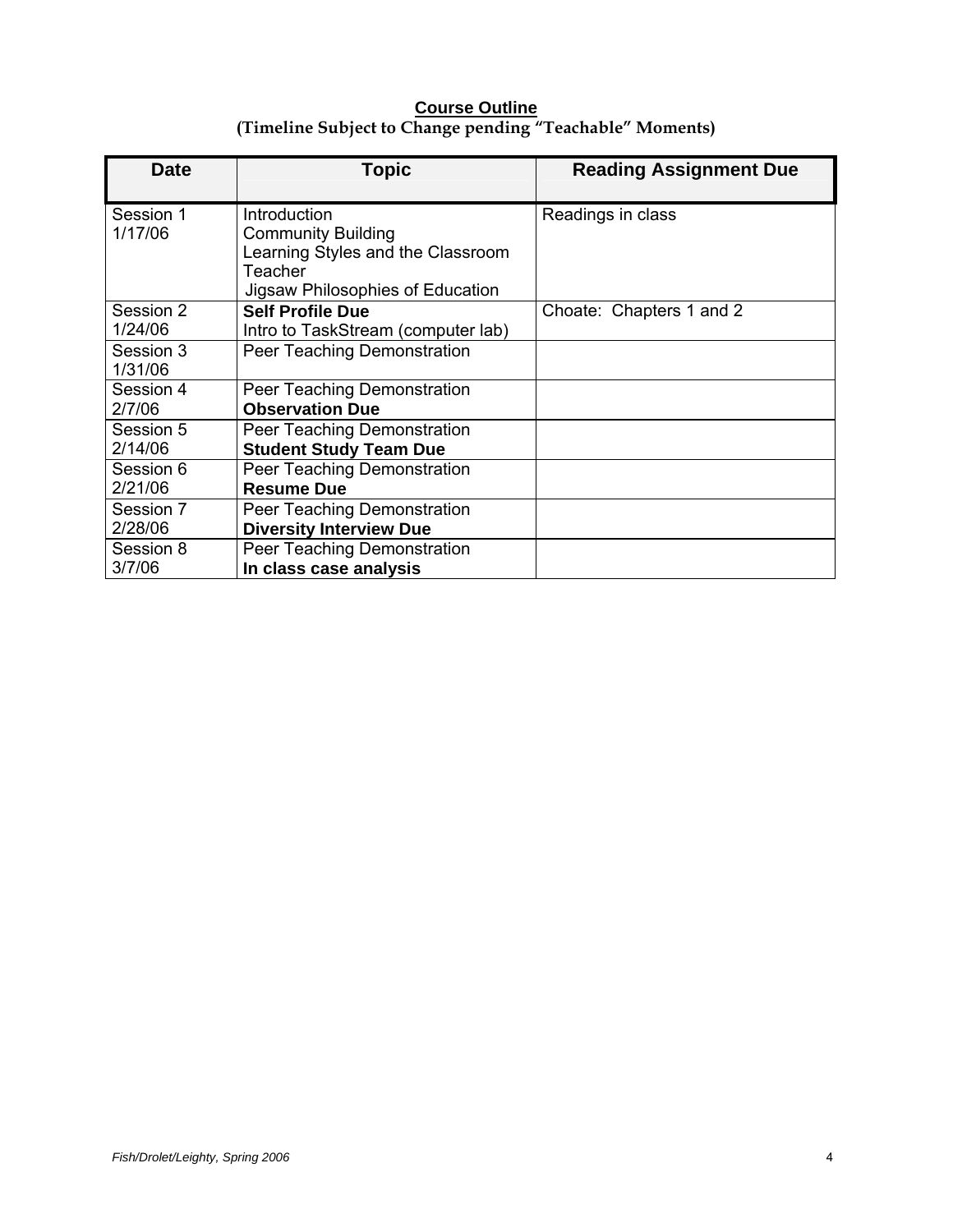## **Course Outline (Timeline Subject to Change pending "Teachable" Moments)**

| Date                 | Topic                                                                                                                         | <b>Reading Assignment Due</b> |
|----------------------|-------------------------------------------------------------------------------------------------------------------------------|-------------------------------|
| Session 1<br>1/17/06 | Introduction<br><b>Community Building</b><br>Learning Styles and the Classroom<br>Teacher<br>Jigsaw Philosophies of Education | Readings in class             |
| Session 2<br>1/24/06 | <b>Self Profile Due</b><br>Intro to TaskStream (computer lab)                                                                 | Choate: Chapters 1 and 2      |
| Session 3<br>1/31/06 | Peer Teaching Demonstration                                                                                                   |                               |
| Session 4<br>2/7/06  | Peer Teaching Demonstration<br><b>Observation Due</b>                                                                         |                               |
| Session 5<br>2/14/06 | Peer Teaching Demonstration<br><b>Student Study Team Due</b>                                                                  |                               |
| Session 6<br>2/21/06 | Peer Teaching Demonstration<br><b>Resume Due</b>                                                                              |                               |
| Session 7<br>2/28/06 | Peer Teaching Demonstration<br><b>Diversity Interview Due</b>                                                                 |                               |
| Session 8<br>3/7/06  | Peer Teaching Demonstration<br>In class case analysis                                                                         |                               |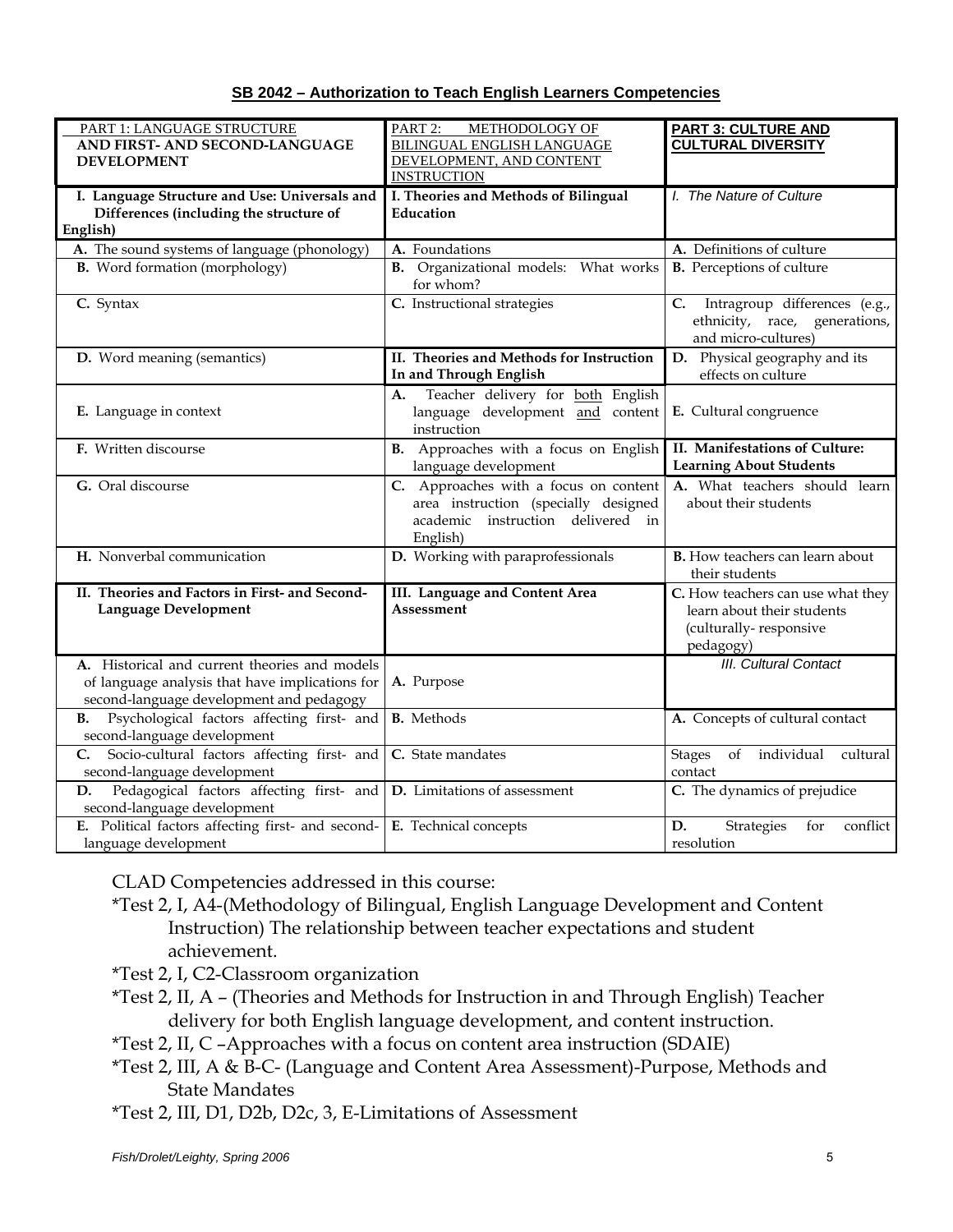|--|

| PART 1: LANGUAGE STRUCTURE                                                                                                                   | PART 2:<br>METHODOLOGY OF                                                                                                      | <b>PART 3: CULTURE AND</b>                                                                             |
|----------------------------------------------------------------------------------------------------------------------------------------------|--------------------------------------------------------------------------------------------------------------------------------|--------------------------------------------------------------------------------------------------------|
| AND FIRST- AND SECOND-LANGUAGE                                                                                                               | <b>BILINGUAL ENGLISH LANGUAGE</b><br>DEVELOPMENT, AND CONTENT                                                                  | <b>CULTURAL DIVERSITY</b>                                                                              |
| <b>DEVELOPMENT</b>                                                                                                                           | <b>INSTRUCTION</b>                                                                                                             |                                                                                                        |
| I. Language Structure and Use: Universals and                                                                                                | I. Theories and Methods of Bilingual                                                                                           | I. The Nature of Culture                                                                               |
| Differences (including the structure of                                                                                                      | Education                                                                                                                      |                                                                                                        |
| English)                                                                                                                                     |                                                                                                                                |                                                                                                        |
| A. The sound systems of language (phonology)                                                                                                 | A. Foundations                                                                                                                 | A. Definitions of culture                                                                              |
| <b>B.</b> Word formation (morphology)                                                                                                        | <b>B.</b> Organizational models: What works<br>for whom?                                                                       | <b>B.</b> Perceptions of culture                                                                       |
| C. Syntax                                                                                                                                    | C. Instructional strategies                                                                                                    | Intragroup differences (e.g.,<br>C.<br>ethnicity, race, generations,<br>and micro-cultures)            |
| D. Word meaning (semantics)                                                                                                                  | II. Theories and Methods for Instruction<br>In and Through English                                                             | D. Physical geography and its<br>effects on culture                                                    |
| E. Language in context                                                                                                                       | Teacher delivery for both English<br>A.<br>language development and content<br>instruction                                     | E. Cultural congruence                                                                                 |
| F. Written discourse                                                                                                                         | B. Approaches with a focus on English<br>language development                                                                  | II. Manifestations of Culture:<br><b>Learning About Students</b>                                       |
| G. Oral discourse                                                                                                                            | C. Approaches with a focus on content<br>area instruction (specially designed<br>academic instruction delivered in<br>English) | A. What teachers should learn<br>about their students                                                  |
| H. Nonverbal communication                                                                                                                   | D. Working with paraprofessionals                                                                                              | <b>B.</b> How teachers can learn about<br>their students                                               |
| II. Theories and Factors in First- and Second-<br><b>Language Development</b>                                                                | III. Language and Content Area<br><b>Assessment</b>                                                                            | C. How teachers can use what they<br>learn about their students<br>(culturally-responsive<br>pedagogy) |
| A. Historical and current theories and models<br>of language analysis that have implications for<br>second-language development and pedagogy | A. Purpose                                                                                                                     | <b>III. Cultural Contact</b>                                                                           |
| Psychological factors affecting first- and<br>В.<br>second-language development                                                              | <b>B.</b> Methods                                                                                                              | A. Concepts of cultural contact                                                                        |
| Socio-cultural factors affecting first- and<br>C.<br>second-language development                                                             | C. State mandates                                                                                                              | individual<br><b>Stages</b><br>of<br>cultural<br>contact                                               |
| Pedagogical factors affecting first- and<br>D.<br>second-language development                                                                | D. Limitations of assessment                                                                                                   | C. The dynamics of prejudice                                                                           |
| E. Political factors affecting first- and second-<br>language development                                                                    | E. Technical concepts                                                                                                          | D.<br>Strategies<br>for<br>conflict<br>resolution                                                      |

CLAD Competencies addressed in this course:

- \*Test 2, I, A4-(Methodology of Bilingual, English Language Development and Content Instruction) The relationship between teacher expectations and student achievement.
- \*Test 2, I, C2-Classroom organization
- \*Test 2, II, A (Theories and Methods for Instruction in and Through English) Teacher delivery for both English language development, and content instruction.

\*Test 2, II, C –Approaches with a focus on content area instruction (SDAIE)

- \*Test 2, III, A & B-C- (Language and Content Area Assessment)-Purpose, Methods and State Mandates
- \*Test 2, III, D1, D2b, D2c, 3, E-Limitations of Assessment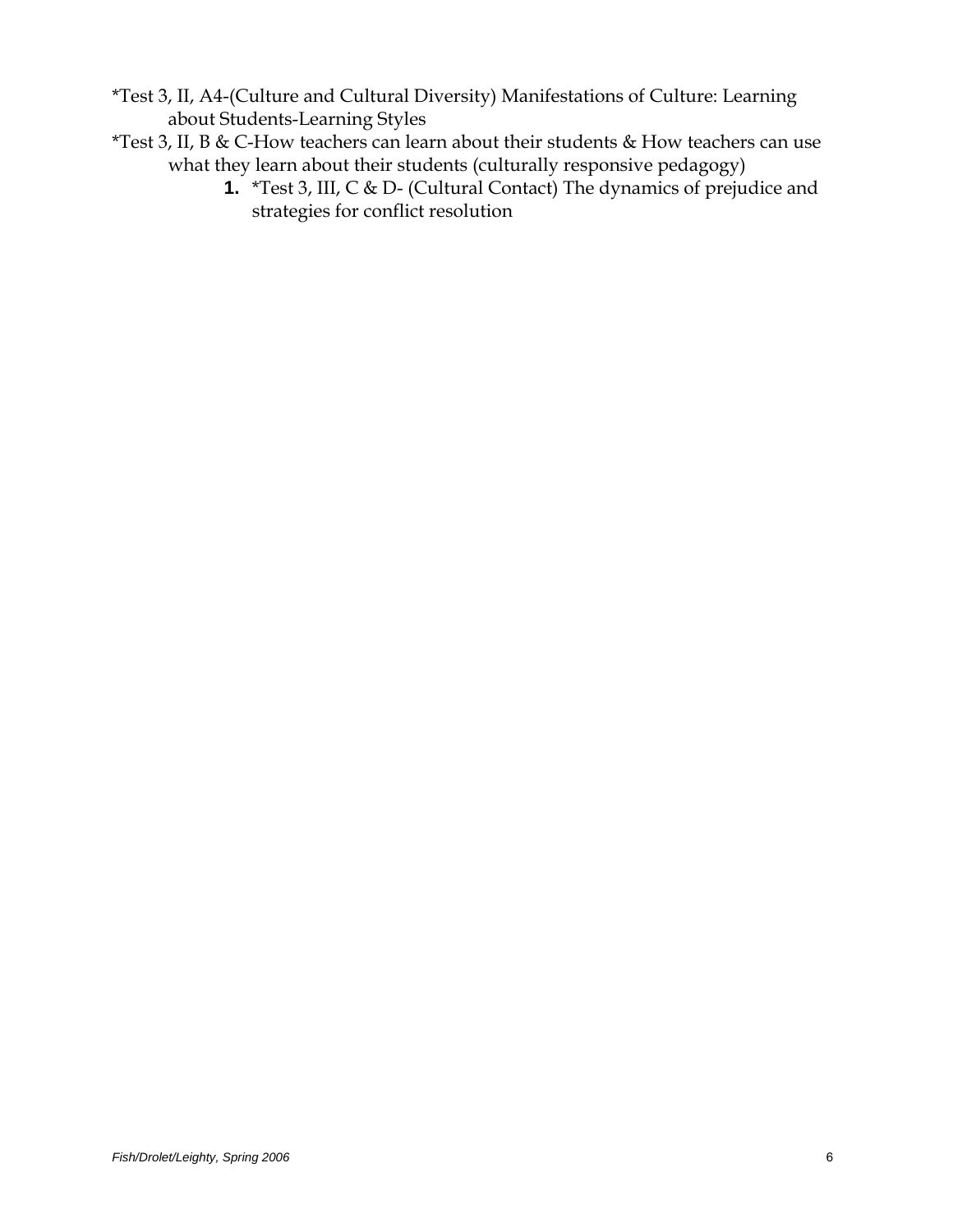- \*Test 3, II, A4-(Culture and Cultural Diversity) Manifestations of Culture: Learning about Students-Learning Styles
- \*Test 3, II, B & C-How teachers can learn about their students & How teachers can use what they learn about their students (culturally responsive pedagogy)
	- **1.** \*Test 3, III, C & D- (Cultural Contact) The dynamics of prejudice and strategies for conflict resolution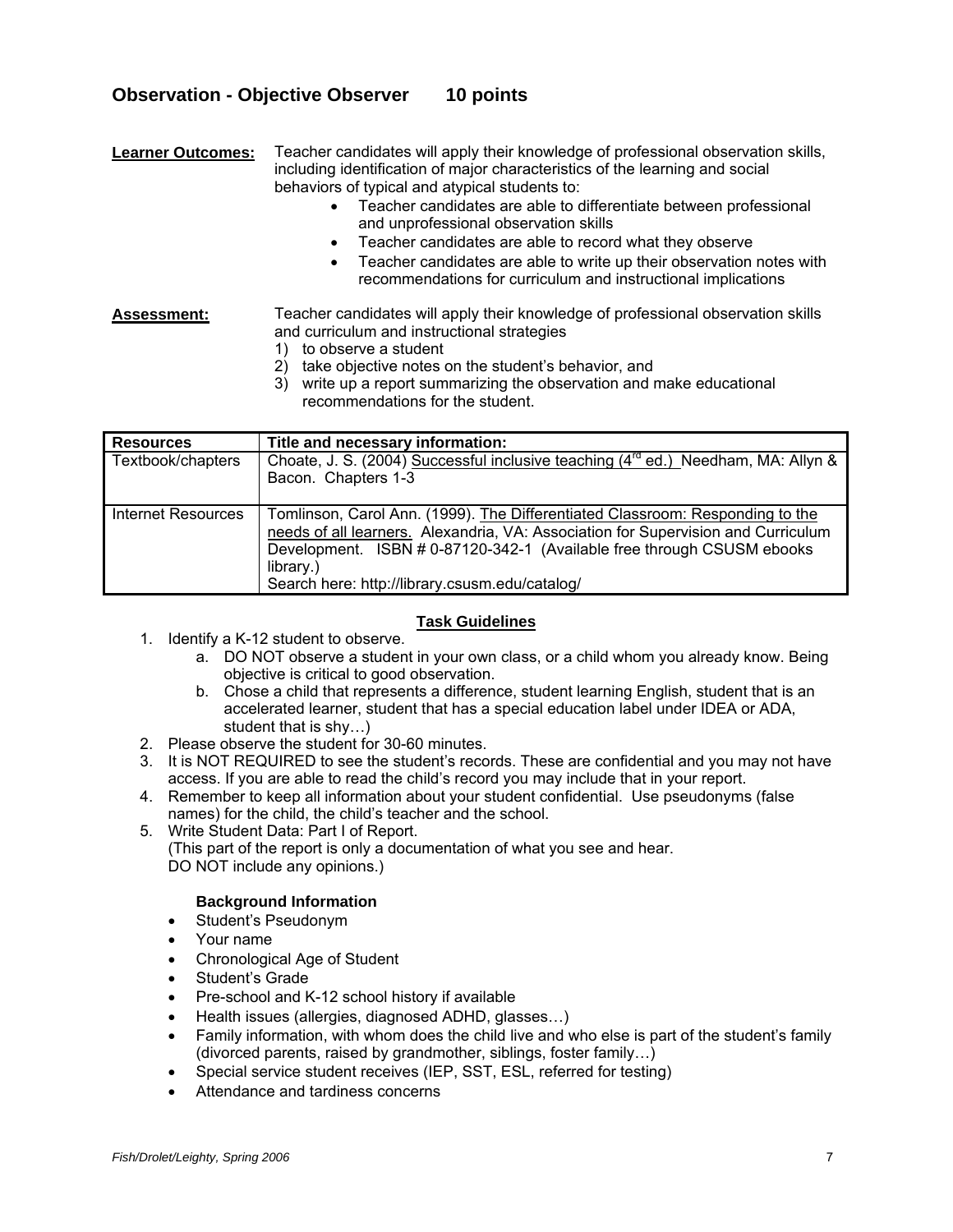## **Observation - Objective Observer 10 points**

**Learner Outcomes:** Teacher candidates will apply their knowledge of professional observation skills, including identification of major characteristics of the learning and social behaviors of typical and atypical students to:

- Teacher candidates are able to differentiate between professional and unprofessional observation skills
- Teacher candidates are able to record what they observe
- Teacher candidates are able to write up their observation notes with recommendations for curriculum and instructional implications

**Assessment:** Teacher candidates will apply their knowledge of professional observation skills and curriculum and instructional strategies

- 1) to observe a student
- 2) take objective notes on the student's behavior, and
- 3) write up a report summarizing the observation and make educational recommendations for the student.

| <b>Resources</b>     | Title and necessary information:                                                                                                                                                                                                                                                                            |
|----------------------|-------------------------------------------------------------------------------------------------------------------------------------------------------------------------------------------------------------------------------------------------------------------------------------------------------------|
| Textbook/chapters    | Choate, J. S. (2004) Successful inclusive teaching (4 <sup>rd</sup> ed.) Needham, MA: Allyn &<br>Bacon. Chapters 1-3                                                                                                                                                                                        |
| I Internet Resources | Tomlinson, Carol Ann. (1999). The Differentiated Classroom: Responding to the<br>needs of all learners. Alexandria, VA: Association for Supervision and Curriculum<br>Development. ISBN # 0-87120-342-1 (Available free through CSUSM ebooks<br>library.)<br>Search here: http://library.csusm.edu/catalog/ |

#### **Task Guidelines**

- 1. Identify a K-12 student to observe.
	- a. DO NOT observe a student in your own class, or a child whom you already know. Being objective is critical to good observation.
	- b. Chose a child that represents a difference, student learning English, student that is an accelerated learner, student that has a special education label under IDEA or ADA, student that is shy…)
- 2. Please observe the student for 30-60 minutes.
- 3. It is NOT REQUIRED to see the student's records. These are confidential and you may not have access. If you are able to read the child's record you may include that in your report.
- 4. Remember to keep all information about your student confidential. Use pseudonyms (false names) for the child, the child's teacher and the school.
- 5. Write Student Data: Part I of Report. (This part of the report is only a documentation of what you see and hear. DO NOT include any opinions.)

#### **Background Information**

- Student's Pseudonym
- Your name
- Chronological Age of Student
- Student's Grade
- Pre-school and K-12 school history if available
- Health issues (allergies, diagnosed ADHD, glasses…)
- Family information, with whom does the child live and who else is part of the student's family (divorced parents, raised by grandmother, siblings, foster family…)
- Special service student receives (IEP, SST, ESL, referred for testing)
- Attendance and tardiness concerns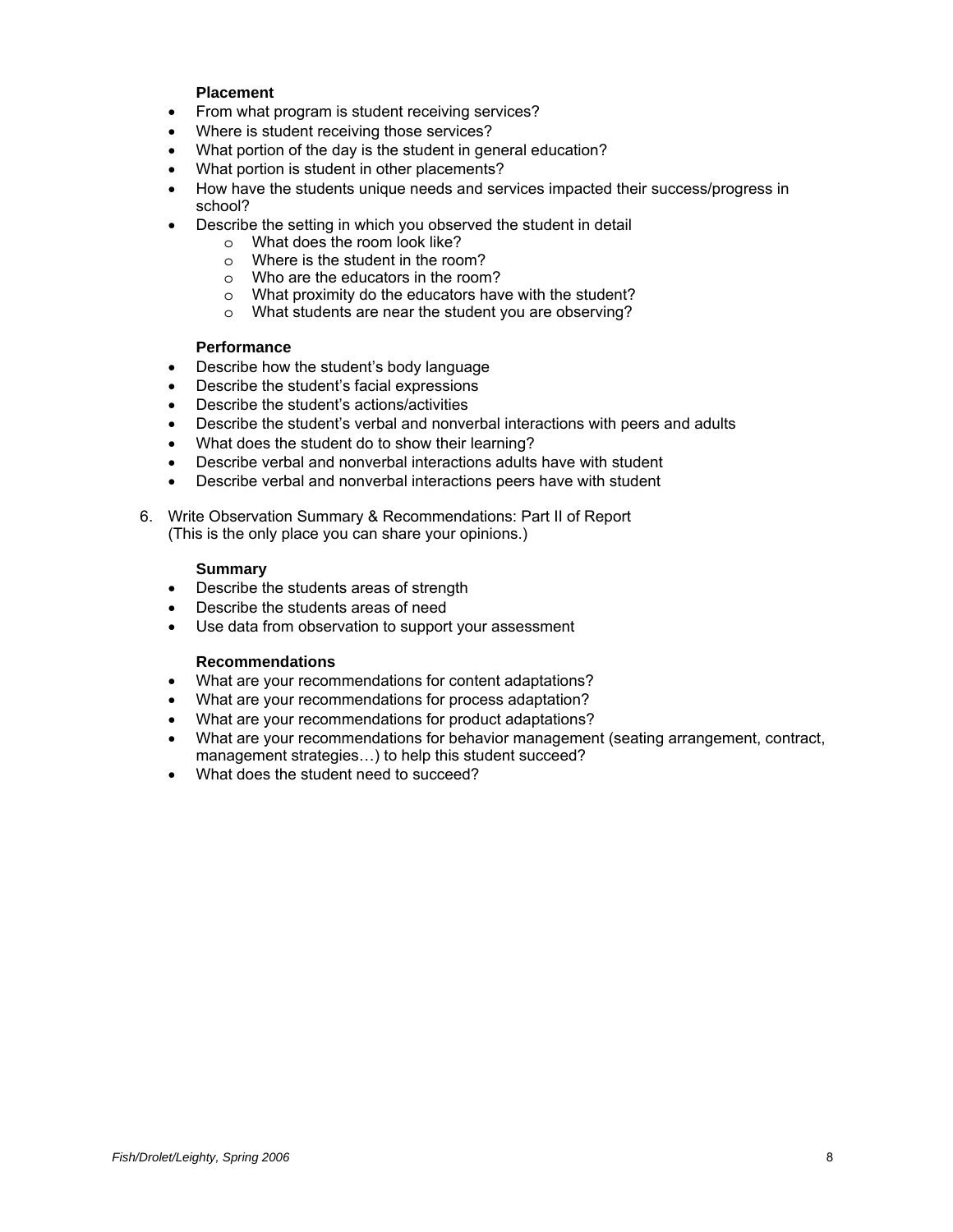#### **Placement**

- From what program is student receiving services?
- Where is student receiving those services?
- What portion of the day is the student in general education?
- What portion is student in other placements?
- How have the students unique needs and services impacted their success/progress in school?
- Describe the setting in which you observed the student in detail
	- o What does the room look like?
	- o Where is the student in the room?
	- o Who are the educators in the room?
	- o What proximity do the educators have with the student?
	- o What students are near the student you are observing?

#### **Performance**

- Describe how the student's body language
- Describe the student's facial expressions
- Describe the student's actions/activities
- Describe the student's verbal and nonverbal interactions with peers and adults
- What does the student do to show their learning?
- Describe verbal and nonverbal interactions adults have with student
- Describe verbal and nonverbal interactions peers have with student
- 6. Write Observation Summary & Recommendations: Part II of Report (This is the only place you can share your opinions.)

#### **Summary**

- Describe the students areas of strength
- Describe the students areas of need
- Use data from observation to support your assessment

#### **Recommendations**

- What are your recommendations for content adaptations?
- What are your recommendations for process adaptation?
- What are your recommendations for product adaptations?
- What are your recommendations for behavior management (seating arrangement, contract, management strategies…) to help this student succeed?
- What does the student need to succeed?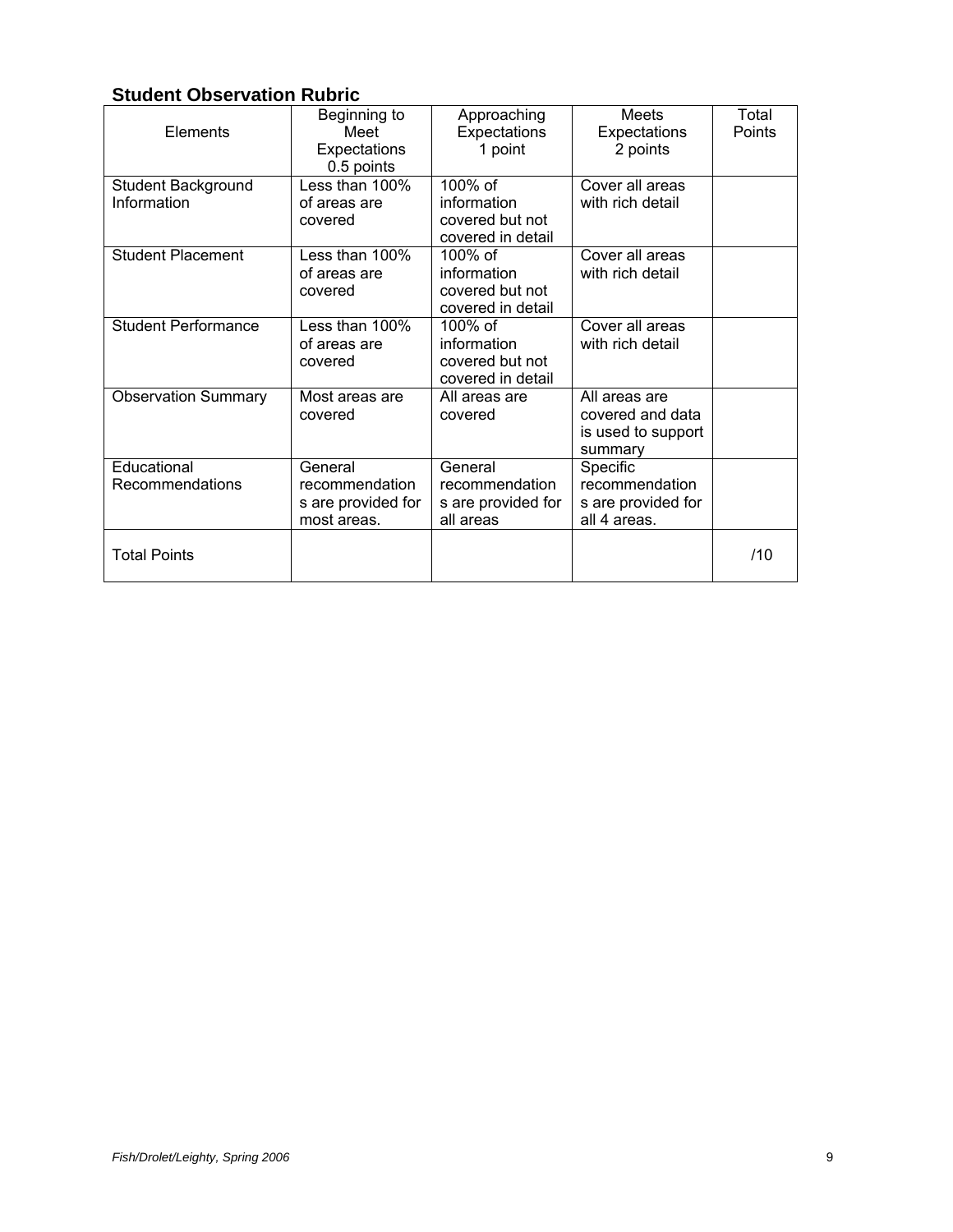# **Student Observation Rubric**

| Elements                          | Beginning to<br>Meet<br>Expectations<br>0.5 points             | Approaching<br>Expectations<br>1 point                            | Meets<br>Expectations<br>2 points                                  | Total<br>Points |
|-----------------------------------|----------------------------------------------------------------|-------------------------------------------------------------------|--------------------------------------------------------------------|-----------------|
| Student Background<br>Information | Less than 100%<br>of areas are<br>covered                      | 100% of<br>information<br>covered but not<br>covered in detail    | Cover all areas<br>with rich detail                                |                 |
| <b>Student Placement</b>          | Less than 100%<br>of areas are<br>covered                      | $100\%$ of<br>information<br>covered but not<br>covered in detail | Cover all areas<br>with rich detail                                |                 |
| <b>Student Performance</b>        | Less than $100\%$<br>of areas are<br>covered                   | $100\%$ of<br>information<br>covered but not<br>covered in detail | Cover all areas<br>with rich detail                                |                 |
| <b>Observation Summary</b>        | Most areas are<br>covered                                      | All areas are<br>covered                                          | All areas are<br>covered and data<br>is used to support<br>summary |                 |
| Educational<br>Recommendations    | General<br>recommendation<br>s are provided for<br>most areas. | General<br>recommendation<br>s are provided for<br>all areas      | Specific<br>recommendation<br>s are provided for<br>all 4 areas.   |                 |
| <b>Total Points</b>               |                                                                |                                                                   |                                                                    | /10             |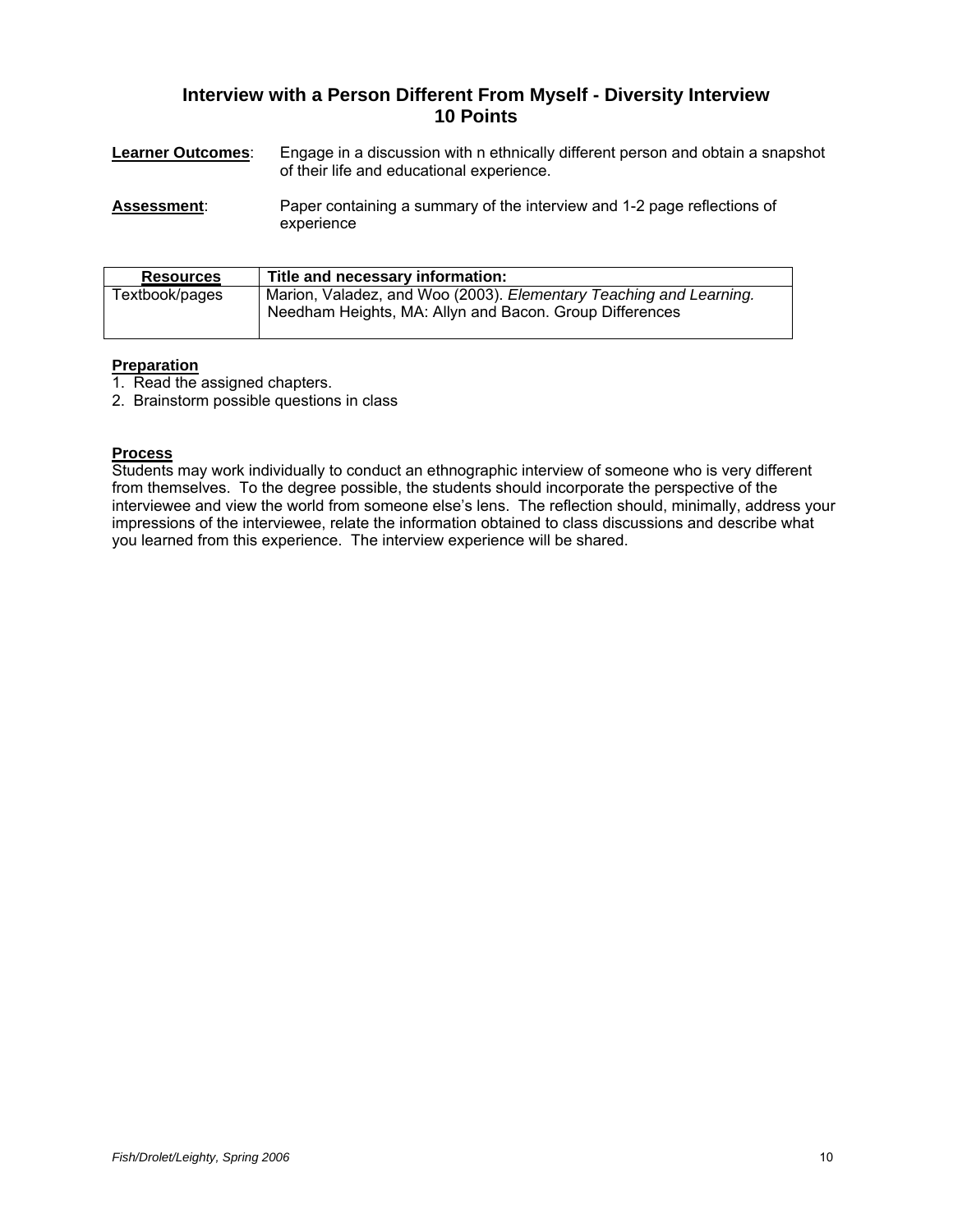## **Interview with a Person Different From Myself - Diversity Interview 10 Points**

| <b>Learner Outcomes:</b> | Engage in a discussion with n ethnically different person and obtain a snapshot |
|--------------------------|---------------------------------------------------------------------------------|
|                          | of their life and educational experience.                                       |

**Assessment:** Paper containing a summary of the interview and 1-2 page reflections of experience

| <b>Resources</b> | Title and necessary information:                                                                                              |
|------------------|-------------------------------------------------------------------------------------------------------------------------------|
| Textbook/pages   | Marion, Valadez, and Woo (2003). Elementary Teaching and Learning.<br>Needham Heights, MA: Allyn and Bacon. Group Differences |

### **Preparation**

1. Read the assigned chapters.

2. Brainstorm possible questions in class

## **Process**

Students may work individually to conduct an ethnographic interview of someone who is very different from themselves. To the degree possible, the students should incorporate the perspective of the interviewee and view the world from someone else's lens. The reflection should, minimally, address your impressions of the interviewee, relate the information obtained to class discussions and describe what you learned from this experience. The interview experience will be shared.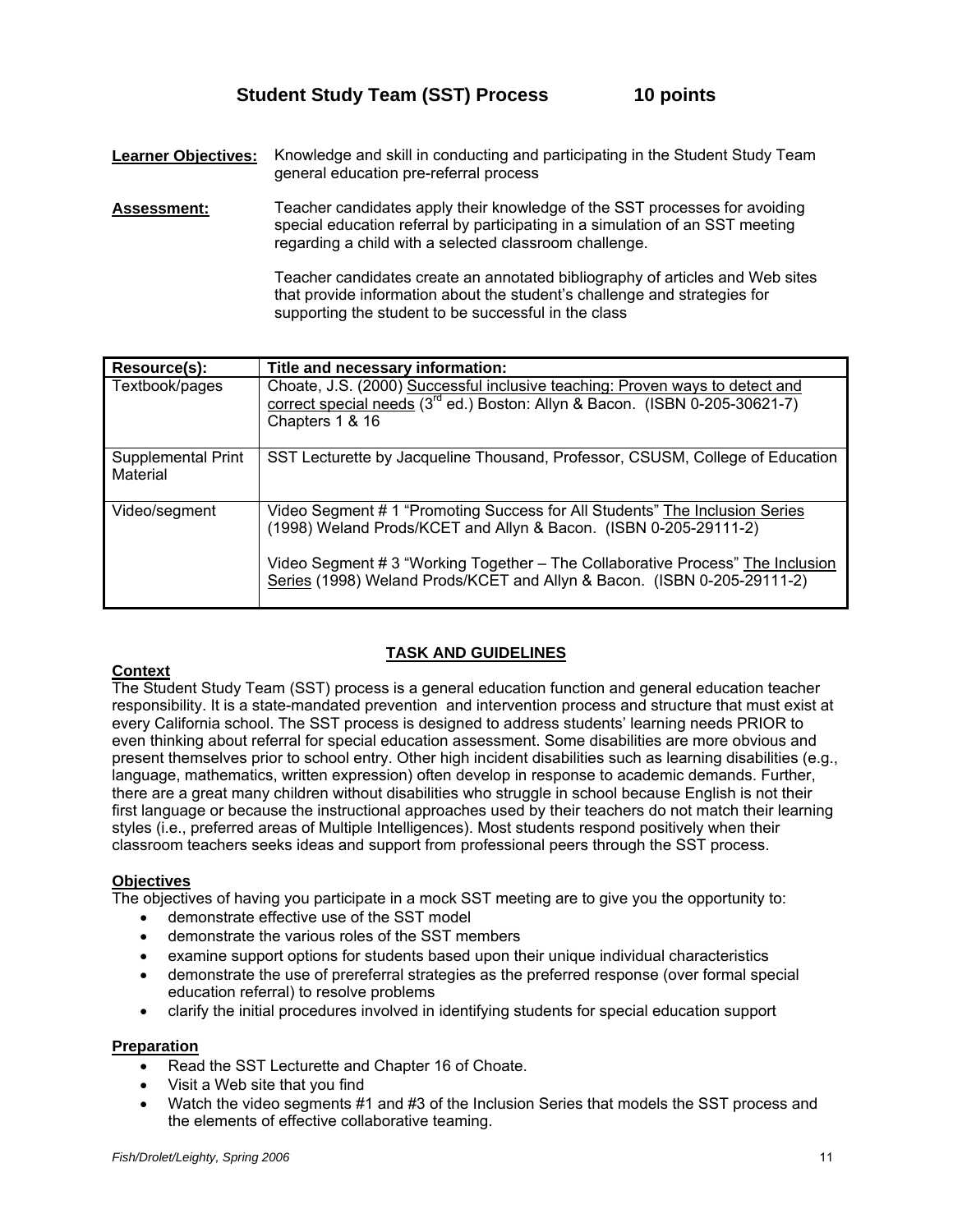**Learner Objectives:** Knowledge and skill in conducting and participating in the Student Study Team general education pre-referral process

**Assessment:** Teacher candidates apply their knowledge of the SST processes for avoiding special education referral by participating in a simulation of an SST meeting regarding a child with a selected classroom challenge.

> Teacher candidates create an annotated bibliography of articles and Web sites that provide information about the student's challenge and strategies for supporting the student to be successful in the class

| Resource(s):                   | Title and necessary information:                                                                                                                                                                                                                                                                             |
|--------------------------------|--------------------------------------------------------------------------------------------------------------------------------------------------------------------------------------------------------------------------------------------------------------------------------------------------------------|
| Textbook/pages                 | Choate, J.S. (2000) Successful inclusive teaching: Proven ways to detect and<br>correct special needs (3 <sup>rd</sup> ed.) Boston: Allyn & Bacon. (ISBN 0-205-30621-7)<br>Chapters 1 & 16                                                                                                                   |
| Supplemental Print<br>Material | SST Lecturette by Jacqueline Thousand, Professor, CSUSM, College of Education                                                                                                                                                                                                                                |
| Video/segment                  | Video Segment # 1 "Promoting Success for All Students" The Inclusion Series<br>(1998) Weland Prods/KCET and Allyn & Bacon. (ISBN 0-205-29111-2)<br>Video Segment # 3 "Working Together - The Collaborative Process" The Inclusion<br>Series (1998) Weland Prods/KCET and Allyn & Bacon. (ISBN 0-205-29111-2) |

## **TASK AND GUIDELINES**

## **Context**

The Student Study Team (SST) process is a general education function and general education teacher responsibility. It is a state-mandated prevention and intervention process and structure that must exist at every California school. The SST process is designed to address students' learning needs PRIOR to even thinking about referral for special education assessment. Some disabilities are more obvious and present themselves prior to school entry. Other high incident disabilities such as learning disabilities (e.g., language, mathematics, written expression) often develop in response to academic demands. Further, there are a great many children without disabilities who struggle in school because English is not their first language or because the instructional approaches used by their teachers do not match their learning styles (i.e., preferred areas of Multiple Intelligences). Most students respond positively when their classroom teachers seeks ideas and support from professional peers through the SST process.

#### **Objectives**

The objectives of having you participate in a mock SST meeting are to give you the opportunity to:

- demonstrate effective use of the SST model
- demonstrate the various roles of the SST members
- examine support options for students based upon their unique individual characteristics
- demonstrate the use of prereferral strategies as the preferred response (over formal special education referral) to resolve problems
- clarify the initial procedures involved in identifying students for special education support

#### **Preparation**

- Read the SST Lecturette and Chapter 16 of Choate.
- Visit a Web site that you find
- Watch the video segments #1 and #3 of the Inclusion Series that models the SST process and the elements of effective collaborative teaming.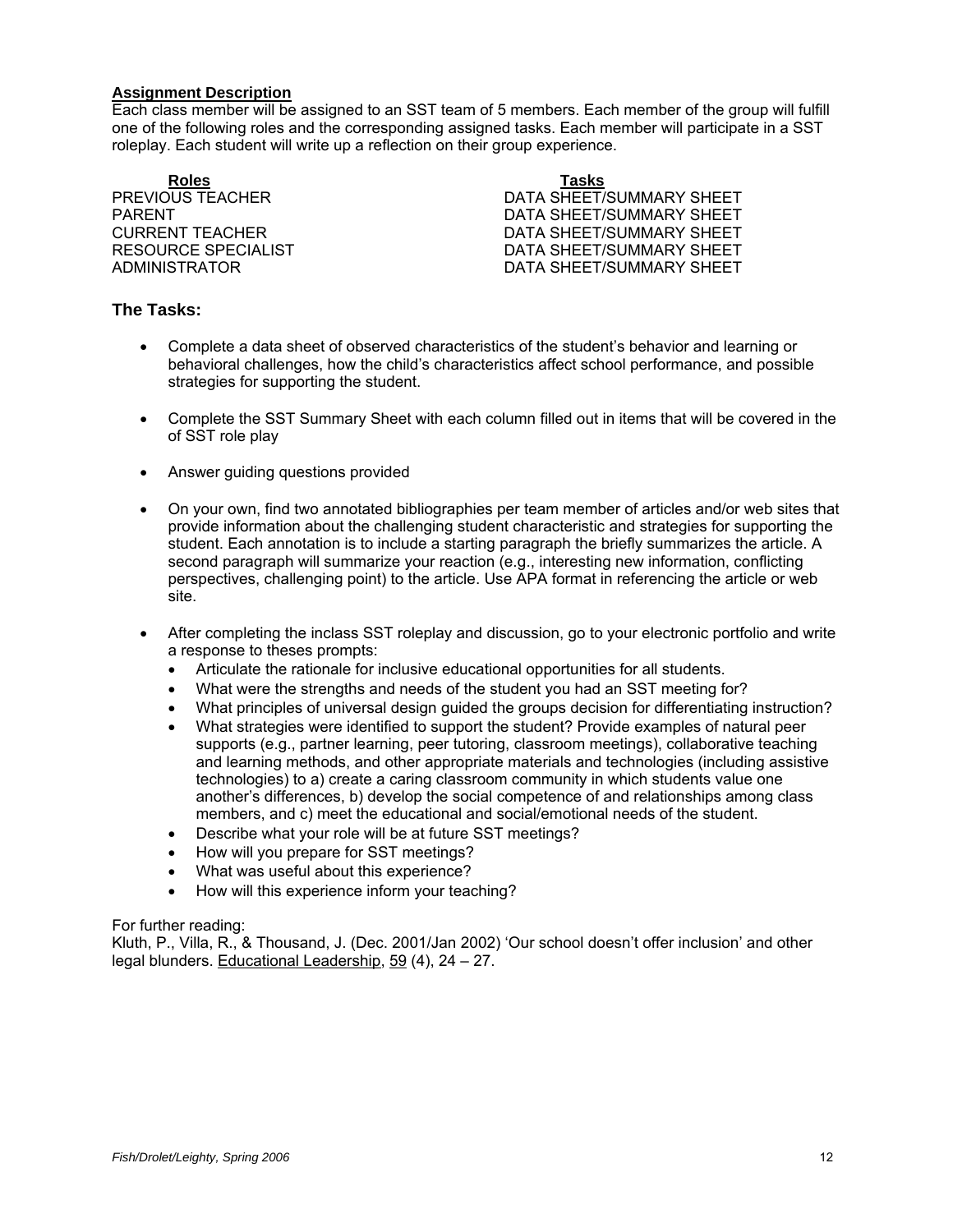#### **Assignment Description**

Each class member will be assigned to an SST team of 5 members. Each member of the group will fulfill one of the following roles and the corresponding assigned tasks. Each member will participate in a SST roleplay. Each student will write up a reflection on their group experience.

#### **Roles Tasks**

PREVIOUS TEACHER **EXECUTE:** DATA SHEET/SUMMARY SHEET PARENT<br>CURRENT TEACHER CURRENT TEACHER<br>DATA SHEET/SUMMARY SHEET DATA SHEET/SUMMARY SHEET RESOURCE SPECIALIST **EXECUTE:** DATA SHEET/SUMMARY SHEET ADMINISTRATOR DATA SHEET/SUMMARY SHEET

### **The Tasks:**

- Complete a data sheet of observed characteristics of the student's behavior and learning or behavioral challenges, how the child's characteristics affect school performance, and possible strategies for supporting the student.
- Complete the SST Summary Sheet with each column filled out in items that will be covered in the of SST role play
- Answer guiding questions provided
- On your own, find two annotated bibliographies per team member of articles and/or web sites that provide information about the challenging student characteristic and strategies for supporting the student. Each annotation is to include a starting paragraph the briefly summarizes the article. A second paragraph will summarize your reaction (e.g., interesting new information, conflicting perspectives, challenging point) to the article. Use APA format in referencing the article or web site.
- After completing the inclass SST roleplay and discussion, go to your electronic portfolio and write a response to theses prompts:
	- Articulate the rationale for inclusive educational opportunities for all students.
	- What were the strengths and needs of the student you had an SST meeting for?
	- What principles of universal design guided the groups decision for differentiating instruction?
	- What strategies were identified to support the student? Provide examples of natural peer supports (e.g., partner learning, peer tutoring, classroom meetings), collaborative teaching and learning methods, and other appropriate materials and technologies (including assistive technologies) to a) create a caring classroom community in which students value one another's differences, b) develop the social competence of and relationships among class members, and c) meet the educational and social/emotional needs of the student.
	- Describe what your role will be at future SST meetings?
	- How will you prepare for SST meetings?
	- What was useful about this experience?
	- How will this experience inform your teaching?

For further reading:

Kluth, P., Villa, R., & Thousand, J. (Dec. 2001/Jan 2002) 'Our school doesn't offer inclusion' and other legal blunders. Educational Leadership, 59 (4), 24 – 27.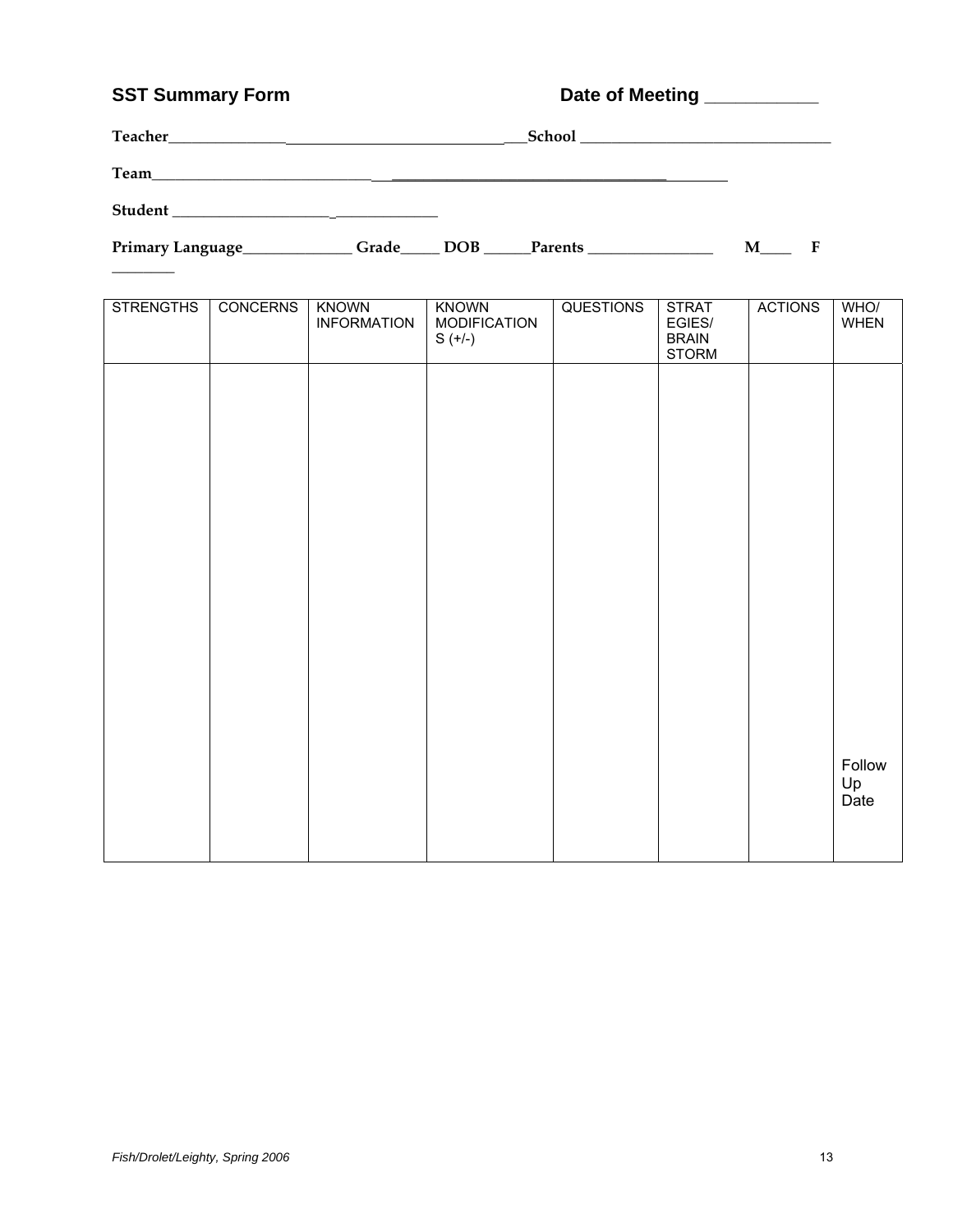# SST Summary Form **Date of Meeting Low Lines SST Summary Form**

 $\overline{\phantom{a}}$ 

| Teacher<br>the contract of the contract of the contract of the contract of the contract of the contract of the contract of |       |     | School and the second second second second second second second second second second second second second second second second second second second second second second second second second second second second second seco |   |  |
|----------------------------------------------------------------------------------------------------------------------------|-------|-----|--------------------------------------------------------------------------------------------------------------------------------------------------------------------------------------------------------------------------------|---|--|
| Team<br><u> 1989 - Jan Barbara, manazarta (h. 1982).</u>                                                                   |       |     |                                                                                                                                                                                                                                |   |  |
| <b>Student</b>                                                                                                             |       |     |                                                                                                                                                                                                                                |   |  |
| Primary Language_                                                                                                          | Grade | DOB | Parents                                                                                                                                                                                                                        | М |  |

| <b>STRENGTHS</b> | <b>CONCERNS</b> | <b>KNOWN</b><br><b>INFORMATION</b> | <b>KNOWN</b><br><b>MODIFICATION</b><br>$S (+/-)$ | <b>QUESTIONS</b> | <b>STRAT</b><br>EGIES/<br><b>BRAIN</b><br><b>STORM</b> | <b>ACTIONS</b> | WHO/<br><b>WHEN</b>  |
|------------------|-----------------|------------------------------------|--------------------------------------------------|------------------|--------------------------------------------------------|----------------|----------------------|
|                  |                 |                                    |                                                  |                  |                                                        |                |                      |
|                  |                 |                                    |                                                  |                  |                                                        |                |                      |
|                  |                 |                                    |                                                  |                  |                                                        |                |                      |
|                  |                 |                                    |                                                  |                  |                                                        |                |                      |
|                  |                 |                                    |                                                  |                  |                                                        |                |                      |
|                  |                 |                                    |                                                  |                  |                                                        |                |                      |
|                  |                 |                                    |                                                  |                  |                                                        |                | Follow<br>Up<br>Date |
|                  |                 |                                    |                                                  |                  |                                                        |                |                      |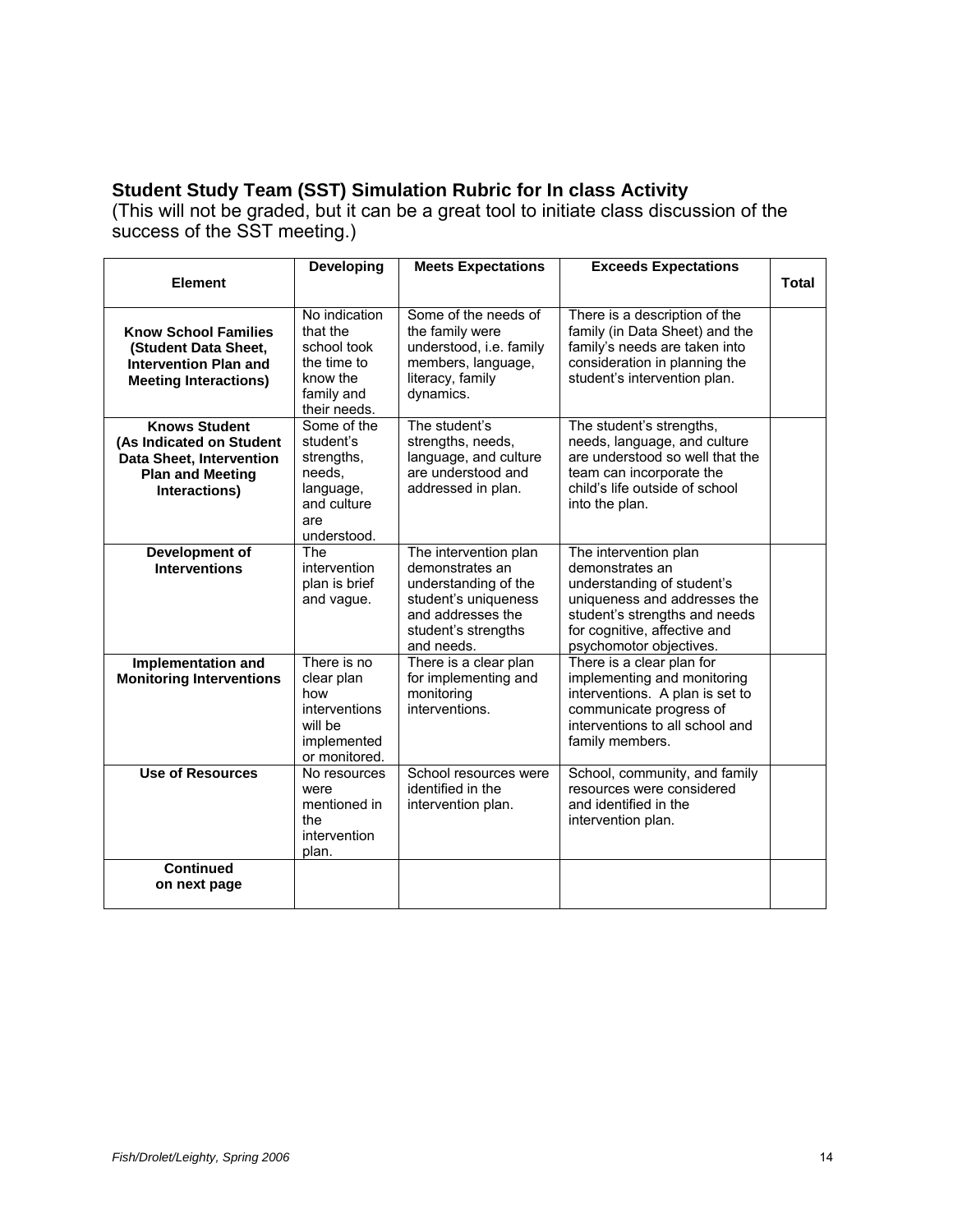# **Student Study Team (SST) Simulation Rubric for In class Activity**

(This will not be graded, but it can be a great tool to initiate class discussion of the success of the SST meeting.)

|                                                                                                                                 | <b>Developing</b>                                                                                  | <b>Meets Expectations</b>                                                                                                                          | <b>Exceeds Expectations</b>                                                                                                                                                                        |              |
|---------------------------------------------------------------------------------------------------------------------------------|----------------------------------------------------------------------------------------------------|----------------------------------------------------------------------------------------------------------------------------------------------------|----------------------------------------------------------------------------------------------------------------------------------------------------------------------------------------------------|--------------|
| <b>Element</b>                                                                                                                  |                                                                                                    |                                                                                                                                                    |                                                                                                                                                                                                    | <b>Total</b> |
| <b>Know School Families</b><br>(Student Data Sheet,<br><b>Intervention Plan and</b><br><b>Meeting Interactions)</b>             | No indication<br>that the<br>school took<br>the time to<br>know the<br>family and<br>their needs.  | Some of the needs of<br>the family were<br>understood, i.e. family<br>members, language,<br>literacy, family<br>dynamics.                          | There is a description of the<br>family (in Data Sheet) and the<br>family's needs are taken into<br>consideration in planning the<br>student's intervention plan.                                  |              |
| <b>Knows Student</b><br>(As Indicated on Student<br><b>Data Sheet, Intervention</b><br><b>Plan and Meeting</b><br>Interactions) | Some of the<br>student's<br>strengths,<br>needs,<br>language,<br>and culture<br>are<br>understood. | The student's<br>strengths, needs,<br>language, and culture<br>are understood and<br>addressed in plan.                                            | The student's strengths,<br>needs, language, and culture<br>are understood so well that the<br>team can incorporate the<br>child's life outside of school<br>into the plan.                        |              |
| Development of<br><b>Interventions</b>                                                                                          | The<br>intervention<br>plan is brief<br>and vague.                                                 | The intervention plan<br>demonstrates an<br>understanding of the<br>student's uniqueness<br>and addresses the<br>student's strengths<br>and needs. | The intervention plan<br>demonstrates an<br>understanding of student's<br>uniqueness and addresses the<br>student's strengths and needs<br>for cognitive, affective and<br>psychomotor objectives. |              |
| Implementation and<br><b>Monitoring Interventions</b>                                                                           | There is no<br>clear plan<br>how<br>interventions<br>will be<br>implemented<br>or monitored.       | There is a clear plan<br>for implementing and<br>monitoring<br>interventions.                                                                      | There is a clear plan for<br>implementing and monitoring<br>interventions. A plan is set to<br>communicate progress of<br>interventions to all school and<br>family members.                       |              |
| <b>Use of Resources</b>                                                                                                         | No resources<br>were<br>mentioned in<br>the<br>intervention<br>plan.                               | School resources were<br>identified in the<br>intervention plan.                                                                                   | School, community, and family<br>resources were considered<br>and identified in the<br>intervention plan.                                                                                          |              |
| <b>Continued</b><br>on next page                                                                                                |                                                                                                    |                                                                                                                                                    |                                                                                                                                                                                                    |              |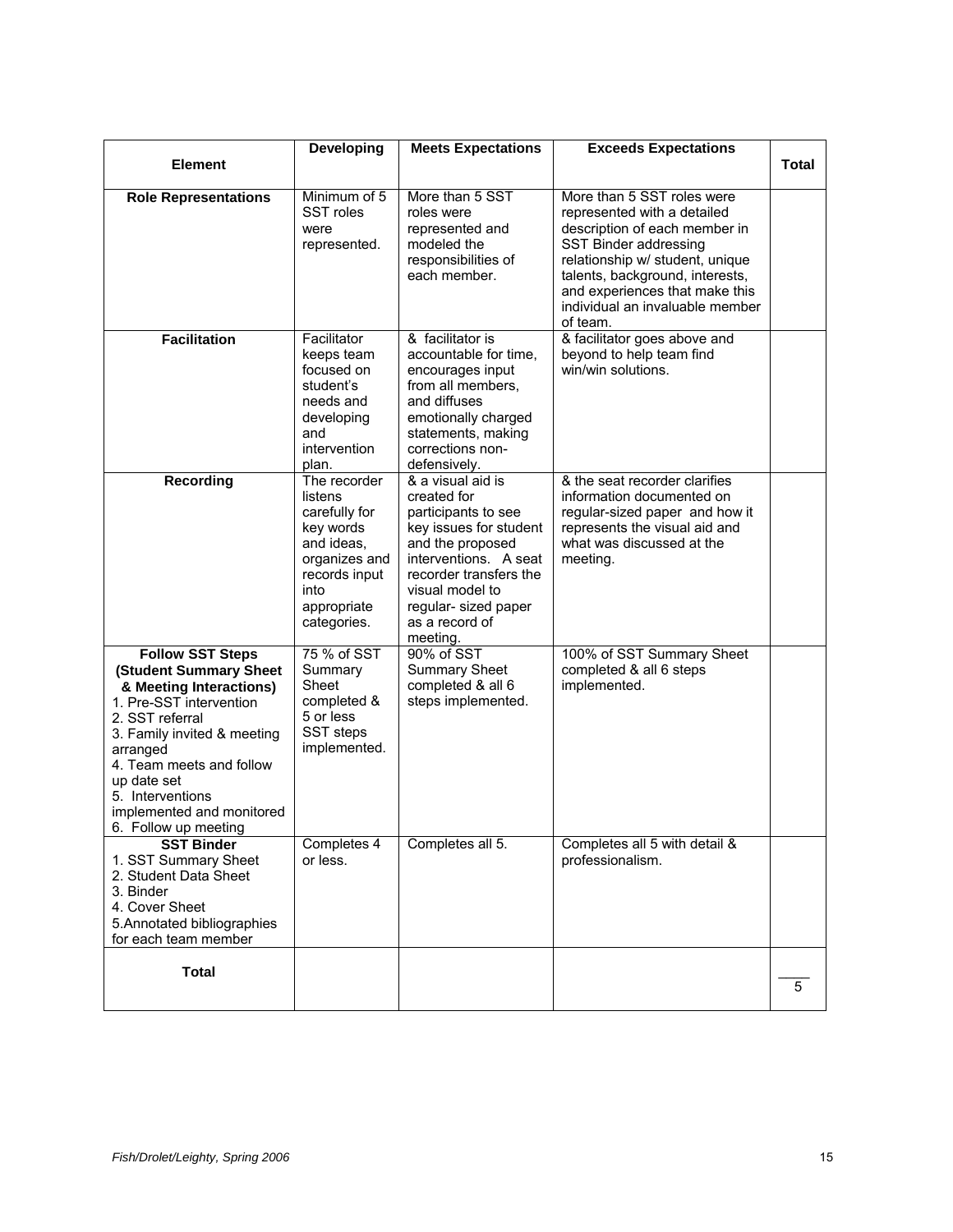|                                                                                                                                                                                                                                                                                           | Developing                                                                                                                                  | <b>Meets Expectations</b>                                                                                                                                                                                                         | <b>Exceeds Expectations</b>                                                                                                                                                                                                                                                |       |
|-------------------------------------------------------------------------------------------------------------------------------------------------------------------------------------------------------------------------------------------------------------------------------------------|---------------------------------------------------------------------------------------------------------------------------------------------|-----------------------------------------------------------------------------------------------------------------------------------------------------------------------------------------------------------------------------------|----------------------------------------------------------------------------------------------------------------------------------------------------------------------------------------------------------------------------------------------------------------------------|-------|
| <b>Element</b>                                                                                                                                                                                                                                                                            |                                                                                                                                             |                                                                                                                                                                                                                                   |                                                                                                                                                                                                                                                                            | Total |
| <b>Role Representations</b>                                                                                                                                                                                                                                                               | Minimum of 5<br>SST roles<br>were<br>represented.                                                                                           | More than 5 SST<br>roles were<br>represented and<br>modeled the<br>responsibilities of<br>each member.                                                                                                                            | More than 5 SST roles were<br>represented with a detailed<br>description of each member in<br>SST Binder addressing<br>relationship w/ student, unique<br>talents, background, interests,<br>and experiences that make this<br>individual an invaluable member<br>of team. |       |
| <b>Facilitation</b>                                                                                                                                                                                                                                                                       | Facilitator<br>keeps team<br>focused on<br>student's<br>needs and<br>developing<br>and<br>intervention<br>plan.                             | & facilitator is<br>accountable for time,<br>encourages input<br>from all members,<br>and diffuses<br>emotionally charged<br>statements, making<br>corrections non-<br>defensively.                                               | & facilitator goes above and<br>beyond to help team find<br>win/win solutions.                                                                                                                                                                                             |       |
| <b>Recording</b>                                                                                                                                                                                                                                                                          | The recorder<br>listens<br>carefully for<br>key words<br>and ideas.<br>organizes and<br>records input<br>into<br>appropriate<br>categories. | & a visual aid is<br>created for<br>participants to see<br>key issues for student<br>and the proposed<br>interventions. A seat<br>recorder transfers the<br>visual model to<br>regular- sized paper<br>as a record of<br>meeting. | & the seat recorder clarifies<br>information documented on<br>regular-sized paper and how it<br>represents the visual aid and<br>what was discussed at the<br>meeting.                                                                                                     |       |
| <b>Follow SST Steps</b><br>(Student Summary Sheet<br>& Meeting Interactions)<br>1. Pre-SST intervention<br>2. SST referral<br>3. Family invited & meeting<br>arranged<br>4. Team meets and follow<br>up date set<br>5. Interventions<br>implemented and monitored<br>6. Follow up meeting | 75 % of SST<br>Summary<br>Sheet<br>completed &<br>5 or less<br>SST steps<br>implemented.                                                    | 90% of SST<br><b>Summary Sheet</b><br>completed & all 6<br>steps implemented.                                                                                                                                                     | 100% of SST Summary Sheet<br>completed & all 6 steps<br>implemented.                                                                                                                                                                                                       |       |
| <b>SST Binder</b><br>1. SST Summary Sheet<br>2. Student Data Sheet<br>3. Binder<br>4. Cover Sheet<br>5. Annotated bibliographies<br>for each team member                                                                                                                                  | Completes 4<br>or less.                                                                                                                     | Completes all 5.                                                                                                                                                                                                                  | Completes all 5 with detail &<br>professionalism.                                                                                                                                                                                                                          |       |
| <b>Total</b>                                                                                                                                                                                                                                                                              |                                                                                                                                             |                                                                                                                                                                                                                                   |                                                                                                                                                                                                                                                                            | 5     |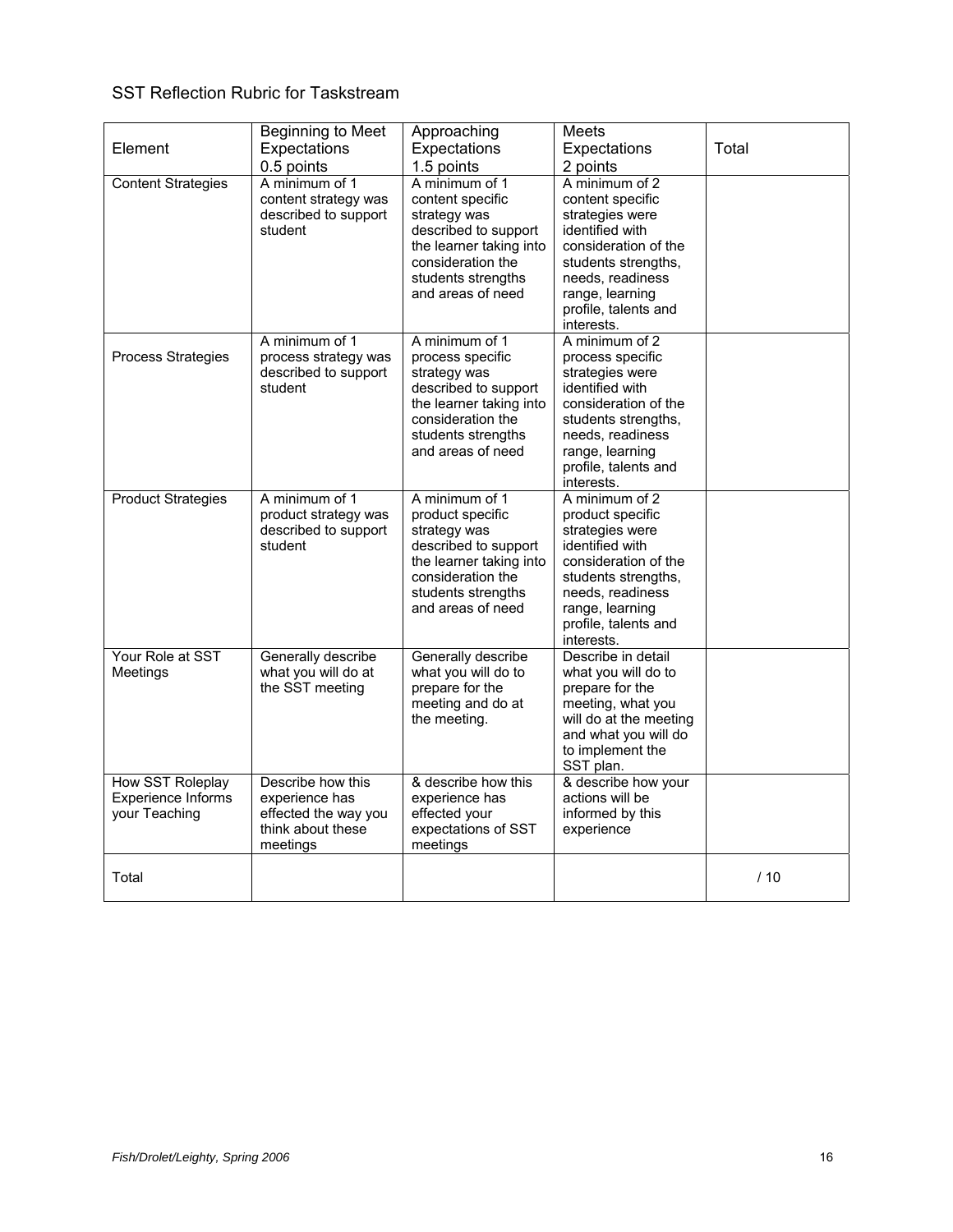## SST Reflection Rubric for Taskstream

| Element<br><b>Content Strategies</b>                           | Beginning to Meet<br>Expectations<br>0.5 points<br>A minimum of 1                            | Approaching<br>Expectations<br>1.5 points<br>A minimum of 1                                                                                                           | Meets<br>Expectations<br>2 points<br>A minimum of 2                                                                                                                                                  | Total |
|----------------------------------------------------------------|----------------------------------------------------------------------------------------------|-----------------------------------------------------------------------------------------------------------------------------------------------------------------------|------------------------------------------------------------------------------------------------------------------------------------------------------------------------------------------------------|-------|
|                                                                | content strategy was<br>described to support<br>student                                      | content specific<br>strategy was<br>described to support<br>the learner taking into<br>consideration the<br>students strengths<br>and areas of need                   | content specific<br>strategies were<br>identified with<br>consideration of the<br>students strengths,<br>needs, readiness<br>range, learning<br>profile, talents and<br>interests.                   |       |
| Process Strategies                                             | A minimum of 1<br>process strategy was<br>described to support<br>student                    | A minimum of 1<br>process specific<br>strategy was<br>described to support<br>the learner taking into<br>consideration the<br>students strengths<br>and areas of need | A minimum of 2<br>process specific<br>strategies were<br>identified with<br>consideration of the<br>students strengths.<br>needs, readiness<br>range, learning<br>profile, talents and<br>interests. |       |
| <b>Product Strategies</b>                                      | A minimum of 1<br>product strategy was<br>described to support<br>student                    | A minimum of 1<br>product specific<br>strategy was<br>described to support<br>the learner taking into<br>consideration the<br>students strengths<br>and areas of need | A minimum of 2<br>product specific<br>strategies were<br>identified with<br>consideration of the<br>students strengths,<br>needs, readiness<br>range, learning<br>profile, talents and<br>interests. |       |
| Your Role at SST<br>Meetings                                   | Generally describe<br>what you will do at<br>the SST meeting                                 | Generally describe<br>what you will do to<br>prepare for the<br>meeting and do at<br>the meeting.                                                                     | Describe in detail<br>what you will do to<br>prepare for the<br>meeting, what you<br>will do at the meeting<br>and what you will do<br>to implement the<br>SST plan.                                 |       |
| <b>How SST Roleplay</b><br>Experience Informs<br>your Teaching | Describe how this<br>experience has<br>effected the way you<br>think about these<br>meetings | & describe how this<br>experience has<br>effected your<br>expectations of SST<br>meetings                                                                             | & describe how your<br>actions will be<br>informed by this<br>experience                                                                                                                             |       |
| Total                                                          |                                                                                              |                                                                                                                                                                       |                                                                                                                                                                                                      | /10   |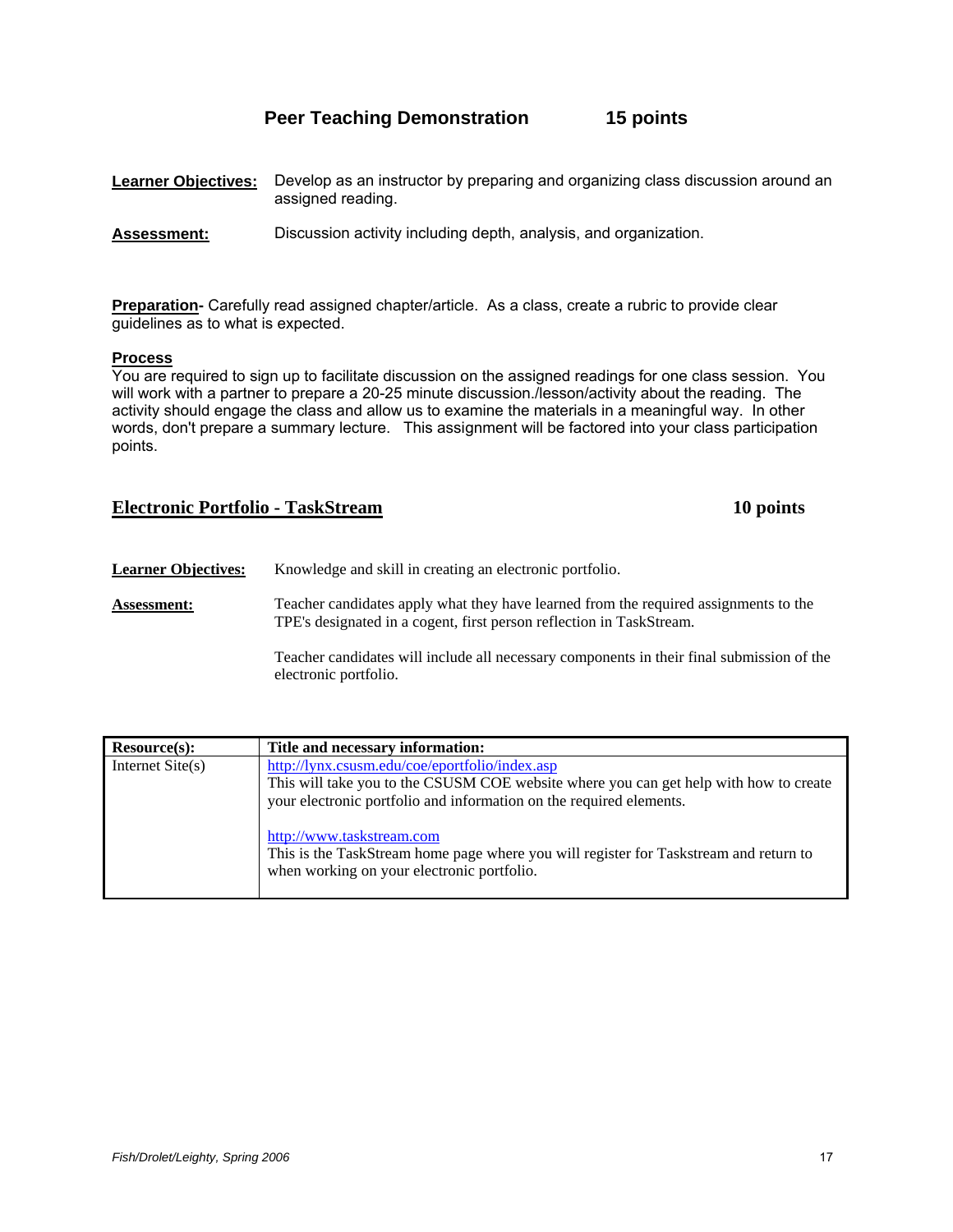# **Peer Teaching Demonstration 15 points**

| <b>Learner Objectives:</b> Develop as an instructor by preparing and organizing class discussion around an |
|------------------------------------------------------------------------------------------------------------|
| assigned reading.                                                                                          |

**Assessment:** Discussion activity including depth, analysis, and organization.

**Preparation-** Carefully read assigned chapter/article. As a class, create a rubric to provide clear guidelines as to what is expected.

#### **Process**

You are required to sign up to facilitate discussion on the assigned readings for one class session. You will work with a partner to prepare a 20-25 minute discussion./lesson/activity about the reading. The activity should engage the class and allow us to examine the materials in a meaningful way. In other words, don't prepare a summary lecture. This assignment will be factored into your class participation points.

## **Electronic Portfolio - TaskStream 10 points**

**Learner Objectives:** Knowledge and skill in creating an electronic portfolio. **Assessment:** Teacher candidates apply what they have learned from the required assignments to the TPE's designated in a cogent, first person reflection in TaskStream. Teacher candidates will include all necessary components in their final submission of the electronic portfolio.

| Resource(s):       | Title and necessary information:                                                                                                                                                                               |
|--------------------|----------------------------------------------------------------------------------------------------------------------------------------------------------------------------------------------------------------|
| Internet $Site(s)$ | http://lynx.csusm.edu/coe/eportfolio/index.asp<br>This will take you to the CSUSM COE website where you can get help with how to create<br>your electronic portfolio and information on the required elements. |
|                    | http://www.taskstream.com<br>This is the TaskStream home page where you will register for Taskstream and return to<br>when working on your electronic portfolio.                                               |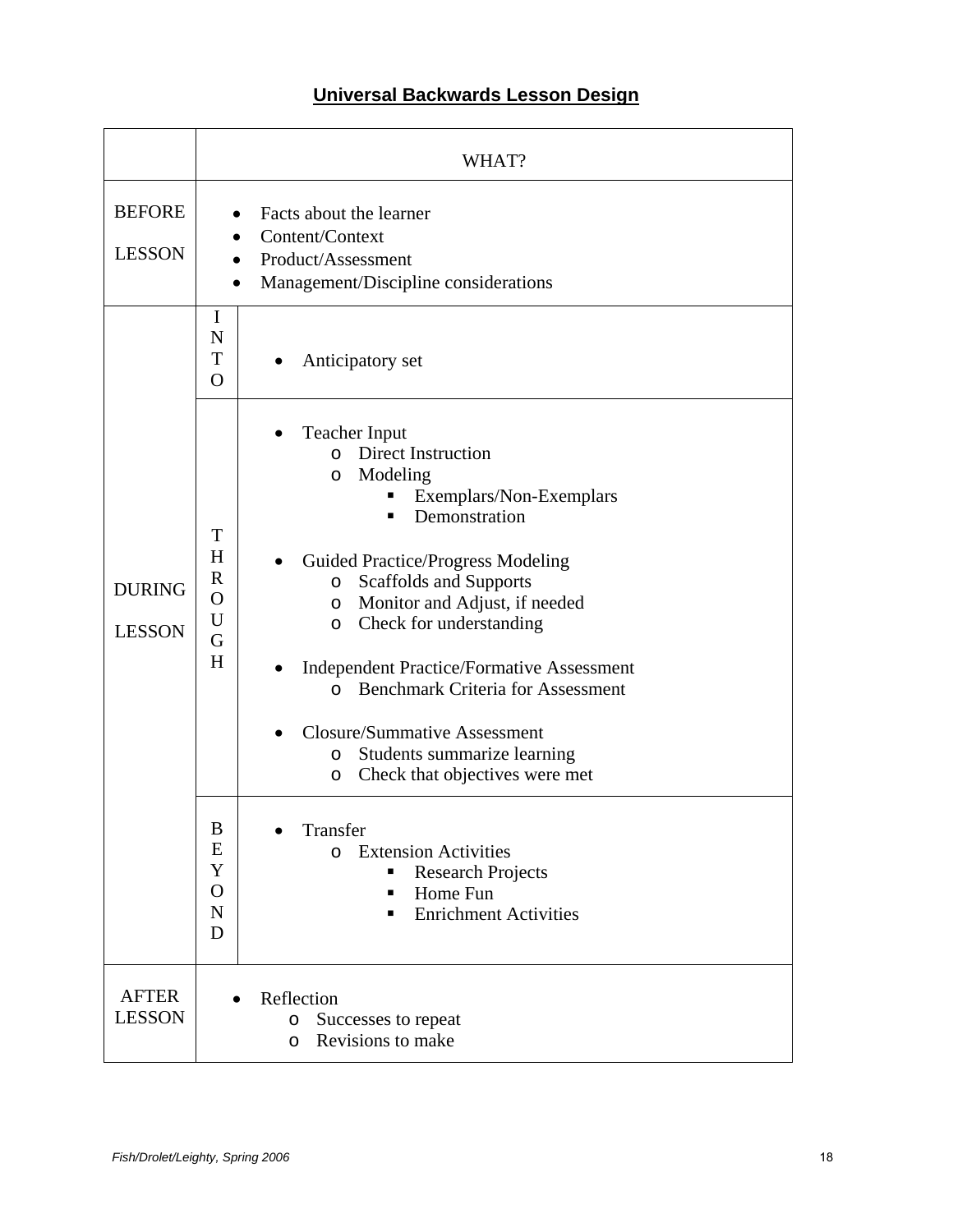# **Universal Backwards Lesson Design**

|                                | WHAT?                                                                                                                                                                                                                                                                                                                                                                                                                                                                                                                                                                                                                                                                                                                                                                                                    |  |  |
|--------------------------------|----------------------------------------------------------------------------------------------------------------------------------------------------------------------------------------------------------------------------------------------------------------------------------------------------------------------------------------------------------------------------------------------------------------------------------------------------------------------------------------------------------------------------------------------------------------------------------------------------------------------------------------------------------------------------------------------------------------------------------------------------------------------------------------------------------|--|--|
| <b>BEFORE</b><br><b>LESSON</b> | Facts about the learner<br>Content/Context<br>Product/Assessment<br>Management/Discipline considerations                                                                                                                                                                                                                                                                                                                                                                                                                                                                                                                                                                                                                                                                                                 |  |  |
|                                | I<br>N<br>T<br>Anticipatory set<br>$\bullet$<br>$\overline{O}$                                                                                                                                                                                                                                                                                                                                                                                                                                                                                                                                                                                                                                                                                                                                           |  |  |
| <b>DURING</b><br><b>LESSON</b> | <b>Teacher Input</b><br><b>Direct Instruction</b><br>$\Omega$<br>Modeling<br>O<br>Exemplars/Non-Exemplars<br>Demonstration<br>▪<br>T<br>H<br><b>Guided Practice/Progress Modeling</b><br>$\mathbf R$<br><b>Scaffolds and Supports</b><br>$\circ$<br>$\mathbf O$<br>Monitor and Adjust, if needed<br>$\circ$<br>U<br>Check for understanding<br>O<br>G<br>H<br><b>Independent Practice/Formative Assessment</b><br><b>Benchmark Criteria for Assessment</b><br>$\Omega$<br><b>Closure/Summative Assessment</b><br>Students summarize learning<br>$\circ$<br>Check that objectives were met<br>O<br>$\boldsymbol{B}$<br>Transfer<br>E<br><b>Extension Activities</b><br>$\Omega$<br>Y<br><b>Research Projects</b><br>$\mathbf O$<br>Home Fun<br>п<br>$\mathbf N$<br><b>Enrichment Activities</b><br>▪<br>D |  |  |
| <b>AFTER</b><br><b>LESSON</b>  | Reflection<br>Successes to repeat<br>O<br>Revisions to make<br>O                                                                                                                                                                                                                                                                                                                                                                                                                                                                                                                                                                                                                                                                                                                                         |  |  |